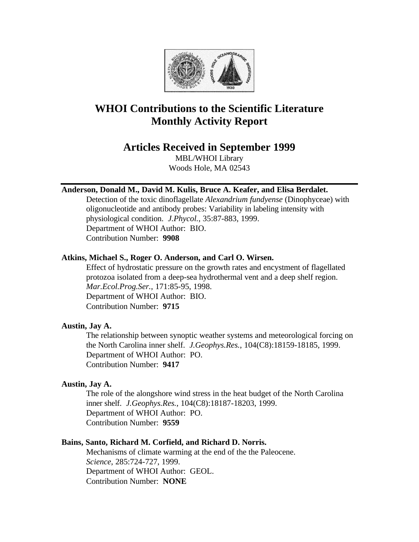

# **WHOI Contributions to the Scientific Literature Monthly Activity Report**

# **Articles Received in September 1999**

MBL/WHOI Library Woods Hole, MA 02543

### **Anderson, Donald M., David M. Kulis, Bruce A. Keafer, and Elisa Berdalet.**

Detection of the toxic dinoflagellate *Alexandrium fundyense* (Dinophyceae) with oligonucleotide and antibody probes: Variability in labeling intensity with physiological condition. *J.Phycol.*, 35:87-883, 1999. Department of WHOI Author: BIO. Contribution Number: **9908**

# **Atkins, Michael S., Roger O. Anderson, and Carl O. Wirsen.**

Effect of hydrostatic pressure on the growth rates and encystment of flagellated protozoa isolated from a deep-sea hydrothermal vent and a deep shelf region. *Mar.Ecol.Prog.Ser.*, 171:85-95, 1998. Department of WHOI Author: BIO. Contribution Number: **9715**

### **Austin, Jay A.**

The relationship between synoptic weather systems and meteorological forcing on the North Carolina inner shelf. *J.Geophys.Res.*, 104(C8):18159-18185, 1999. Department of WHOI Author: PO. Contribution Number: **9417**

### **Austin, Jay A.**

The role of the alongshore wind stress in the heat budget of the North Carolina inner shelf. *J.Geophys.Res.*, 104(C8):18187-18203, 1999. Department of WHOI Author: PO. Contribution Number: **9559**

### **Bains, Santo, Richard M. Corfield, and Richard D. Norris.**

Mechanisms of climate warming at the end of the the Paleocene. *Science*, 285:724-727, 1999. Department of WHOI Author: GEOL. Contribution Number: **NONE**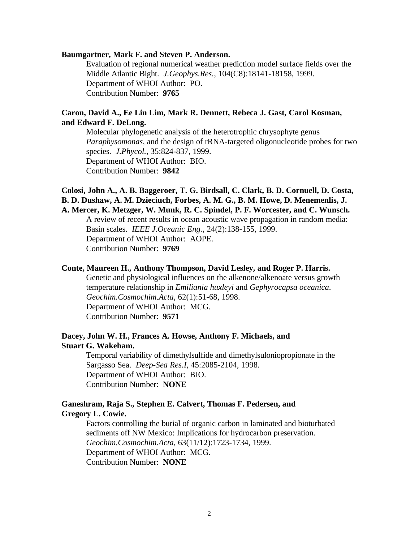#### **Baumgartner, Mark F. and Steven P. Anderson.**

Evaluation of regional numerical weather prediction model surface fields over the Middle Atlantic Bight. *J.Geophys.Res.*, 104(C8):18141-18158, 1999. Department of WHOI Author: PO. Contribution Number: **9765**

# **Caron, David A., Ee Lin Lim, Mark R. Dennett, Rebeca J. Gast, Carol Kosman, and Edward F. DeLong.**

Molecular phylogenetic analysis of the heterotrophic chrysophyte genus *Paraphysomonas*, and the design of rRNA-targeted oligonucleotide probes for two species. *J.Phycol.*, 35:824-837, 1999. Department of WHOI Author: BIO. Contribution Number: **9842**

## **Colosi, John A., A. B. Baggeroer, T. G. Birdsall, C. Clark, B. D. Cornuell, D. Costa, B. D. Dushaw, A. M. Dzieciuch, Forbes, A. M. G., B. M. Howe, D. Menemenlis, J. A. Mercer, K. Metzger, W. Munk, R. C. Spindel, P. F. Worcester, and C. Wunsch.**

A review of recent results in ocean acoustic wave propagation in random media: Basin scales. *IEEE J.Oceanic Eng.*, 24(2):138-155, 1999. Department of WHOI Author: AOPE. Contribution Number: **9769**

#### **Conte, Maureen H., Anthony Thompson, David Lesley, and Roger P. Harris.**

Genetic and physiological influences on the alkenone/alkenoate versus growth temperature relationship in *Emiliania huxleyi* and *Gephyrocapsa oceanica*. *Geochim.Cosmochim.Acta*, 62(1):51-68, 1998. Department of WHOI Author: MCG. Contribution Number: **9571**

### **Dacey, John W. H., Frances A. Howse, Anthony F. Michaels, and Stuart G. Wakeham.**

Temporal variability of dimethylsulfide and dimethylsuloniopropionate in the Sargasso Sea. *Deep-Sea Res.I*, 45:2085-2104, 1998. Department of WHOI Author: BIO. Contribution Number: **NONE**

#### **Ganeshram, Raja S., Stephen E. Calvert, Thomas F. Pedersen, and Gregory L. Cowie.**

Factors controlling the burial of organic carbon in laminated and bioturbated sediments off NW Mexico: Implications for hydrocarbon preservation. *Geochim.Cosmochim.Acta*, 63(11/12):1723-1734, 1999. Department of WHOI Author: MCG. Contribution Number: **NONE**